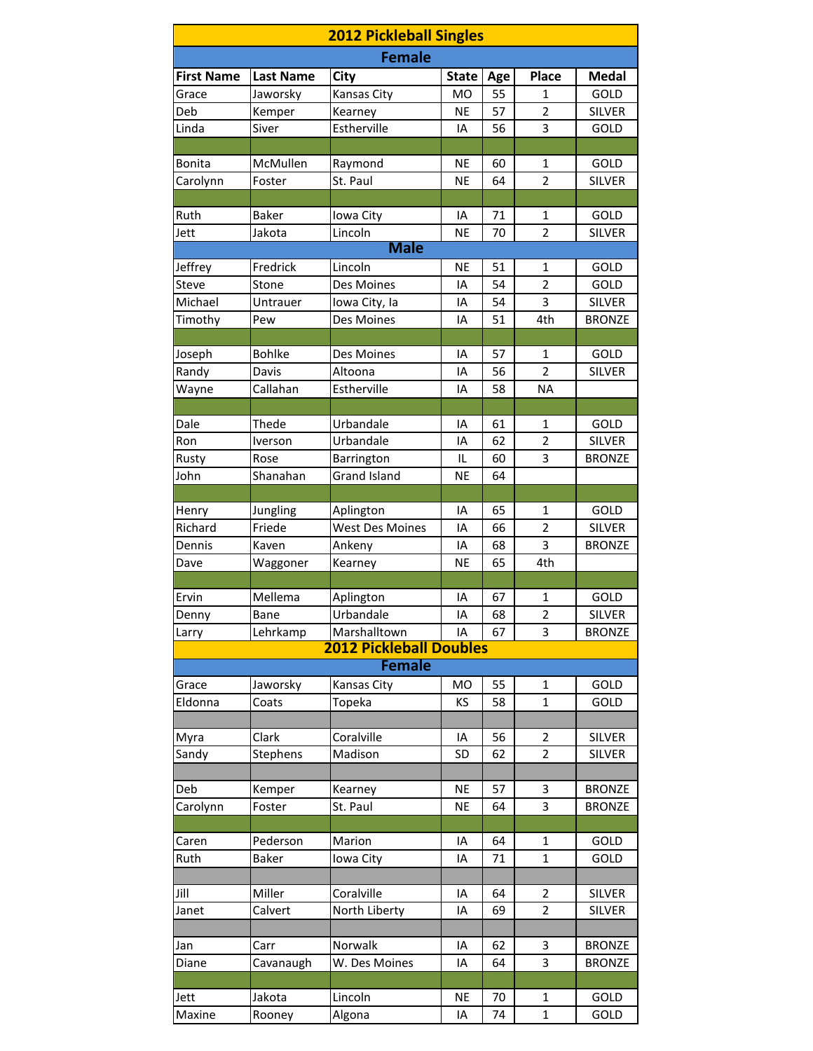| <b>2012 Pickleball Singles</b> |                  |                                |              |     |                |               |  |  |
|--------------------------------|------------------|--------------------------------|--------------|-----|----------------|---------------|--|--|
| <b>Female</b>                  |                  |                                |              |     |                |               |  |  |
| <b>First Name</b>              | <b>Last Name</b> | City                           | <b>State</b> | Age | <b>Place</b>   | Medal         |  |  |
| Grace                          | Jaworsky         | Kansas City                    | <b>MO</b>    | 55  | 1              | GOLD          |  |  |
| Deb                            | Kemper           | Kearney                        | <b>NE</b>    | 57  | $\overline{2}$ | <b>SILVER</b> |  |  |
| Linda                          | Siver            | Estherville                    | IA           | 56  | 3              | GOLD          |  |  |
|                                |                  |                                |              |     |                |               |  |  |
| <b>Bonita</b>                  | McMullen         | Raymond                        | <b>NE</b>    | 60  | $\mathbf{1}$   | GOLD          |  |  |
| Carolynn                       | Foster           | St. Paul                       | <b>NE</b>    | 64  | $\overline{2}$ | <b>SILVER</b> |  |  |
|                                |                  |                                |              |     |                |               |  |  |
| Ruth                           | <b>Baker</b>     | Iowa City                      | IA           | 71  | 1              | GOLD          |  |  |
| Jett                           | Jakota           | Lincoln                        | <b>NE</b>    | 70  | $\overline{2}$ | <b>SILVER</b> |  |  |
|                                |                  | <b>Male</b>                    |              |     |                |               |  |  |
| Jeffrey                        | Fredrick         | Lincoln                        | <b>NE</b>    | 51  | $\mathbf{1}$   | GOLD          |  |  |
| <b>Steve</b>                   | Stone            | Des Moines                     | IA           | 54  | $\overline{2}$ | GOLD          |  |  |
| Michael                        | Untrauer         | Iowa City, la                  | IA           | 54  | 3              | <b>SILVER</b> |  |  |
| Timothy                        | Pew              | Des Moines                     | IA           | 51  | 4th            | <b>BRONZE</b> |  |  |
|                                |                  |                                |              |     |                |               |  |  |
| Joseph                         | <b>Bohlke</b>    | Des Moines                     | IA           | 57  | $\mathbf{1}$   | GOLD          |  |  |
| Randy                          | Davis            | Altoona                        | IA           | 56  | $\overline{2}$ | <b>SILVER</b> |  |  |
| Wayne                          | Callahan         | Estherville                    | IA           | 58  | <b>NA</b>      |               |  |  |
|                                |                  |                                |              |     |                |               |  |  |
| Dale                           | Thede            | Urbandale                      | IA           | 61  | 1              | GOLD          |  |  |
| Ron                            | Iverson          | Urbandale                      | IA           | 62  | $\overline{2}$ | <b>SILVER</b> |  |  |
| Rusty                          | Rose             | Barrington                     | IL           | 60  | 3              | <b>BRONZE</b> |  |  |
| John                           | Shanahan         | <b>Grand Island</b>            | <b>NE</b>    | 64  |                |               |  |  |
|                                |                  |                                |              |     |                |               |  |  |
| Henry                          | Jungling         | Aplington                      | IA           | 65  | 1              | GOLD          |  |  |
| Richard                        | Friede           | <b>West Des Moines</b>         | IA           | 66  | $\overline{2}$ | <b>SILVER</b> |  |  |
| Dennis                         | Kaven            | Ankeny                         | IA           | 68  | 3              | <b>BRONZE</b> |  |  |
| Dave                           | Waggoner         | Kearney                        | <b>NE</b>    | 65  | 4th            |               |  |  |
|                                |                  |                                |              |     |                |               |  |  |
| Ervin                          | Mellema          | Aplington                      | ΙA           | 67  | 1              | GOLD          |  |  |
| Denny                          | Bane             | Urbandale                      | IA           | 68  | $\overline{2}$ | <b>SILVER</b> |  |  |
| Larry                          | Lehrkamp         | Marshalltown                   | IA           | 67  | 3              | <b>BRONZE</b> |  |  |
|                                |                  | <b>2012 Pickleball Doubles</b> |              |     |                |               |  |  |
|                                |                  | <b>Female</b>                  |              |     |                |               |  |  |
| Grace                          | Jaworsky         | Kansas City                    | MO           | 55  | 1              | GOLD          |  |  |
| Eldonna                        | Coats            | Topeka                         | KS           | 58  | $\mathbf{1}$   | GOLD          |  |  |
|                                |                  |                                |              |     |                |               |  |  |
| Myra                           | Clark            | Coralville                     | IA           | 56  | 2              | <b>SILVER</b> |  |  |
| Sandy                          | Stephens         | Madison                        | <b>SD</b>    | 62  | $\overline{2}$ | <b>SILVER</b> |  |  |
|                                |                  |                                |              |     |                |               |  |  |
| Deb                            | Kemper           | Kearney                        | <b>NE</b>    | 57  | 3              | <b>BRONZE</b> |  |  |
| Carolynn                       | Foster           | St. Paul                       | <b>NE</b>    | 64  | 3              | <b>BRONZE</b> |  |  |
|                                |                  |                                |              |     |                |               |  |  |
| Caren                          | Pederson         | Marion                         | IA           | 64  | 1              | GOLD          |  |  |
| Ruth                           | <b>Baker</b>     | Iowa City                      | IA           | 71  | $\mathbf{1}$   | GOLD          |  |  |
|                                |                  |                                |              |     |                |               |  |  |
| Jill                           | Miller           | Coralville                     | IA           | 64  | 2              | <b>SILVER</b> |  |  |
| Janet                          | Calvert          | North Liberty                  | IA           | 69  | $\overline{2}$ | SILVER        |  |  |
|                                |                  |                                |              |     |                |               |  |  |
| Jan                            | Carr             | Norwalk                        | IA           | 62  | 3              | <b>BRONZE</b> |  |  |
| Diane                          | Cavanaugh        | W. Des Moines                  | IA           | 64  | 3              | <b>BRONZE</b> |  |  |
|                                |                  |                                |              |     |                |               |  |  |
| Jett                           | Jakota           | Lincoln                        | NE           | 70  | 1              | GOLD          |  |  |
| Maxine                         | Rooney           | Algona                         | IA           | 74  | $\mathbf{1}$   | GOLD          |  |  |
|                                |                  |                                |              |     |                |               |  |  |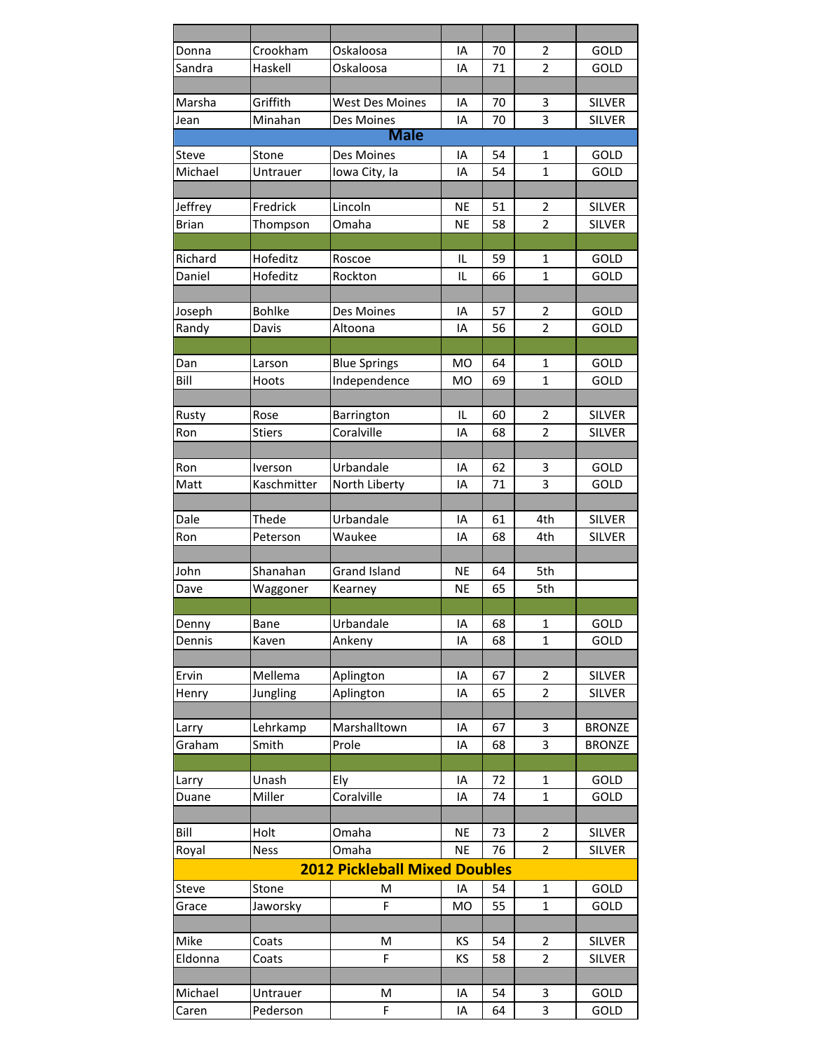| Donna        | Crookham        | Oskaloosa                            | IA             | 70 | 2                   | GOLD          |
|--------------|-----------------|--------------------------------------|----------------|----|---------------------|---------------|
| Sandra       | Haskell         | Oskaloosa                            | IA             | 71 | 2                   | GOLD          |
|              |                 |                                      |                |    |                     |               |
| Marsha       | Griffith        | <b>West Des Moines</b>               | IA             | 70 | 3                   | <b>SILVER</b> |
| Jean         | Minahan         | Des Moines                           | IA             | 70 | 3                   | <b>SILVER</b> |
|              |                 | <b>Male</b>                          |                |    |                     |               |
| <b>Steve</b> | Stone           | Des Moines                           | ΙA             | 54 | 1                   | GOLD          |
| Michael      | Untrauer        | Iowa City, la                        | IA             | 54 | $\mathbf{1}$        | GOLD          |
|              |                 |                                      |                |    |                     |               |
| Jeffrey      | Fredrick        | Lincoln                              | NE             | 51 | $\overline{2}$      | <b>SILVER</b> |
| <b>Brian</b> | Thompson        | Omaha                                | <b>NE</b>      | 58 | $\overline{2}$      | <b>SILVER</b> |
|              |                 |                                      |                |    |                     |               |
| Richard      | Hofeditz        | Roscoe                               | IL             | 59 | 1                   | GOLD          |
| Daniel       | Hofeditz        | Rockton                              | IL             | 66 | $\mathbf{1}$        | GOLD          |
|              |                 |                                      |                |    |                     |               |
| Joseph       | <b>Bohlke</b>   | Des Moines                           | IA             | 57 | 2                   | GOLD          |
| Randy        | Davis           | Altoona                              | IA             | 56 | $\overline{2}$      | GOLD          |
|              |                 |                                      |                |    |                     |               |
| Dan          |                 |                                      | <b>MO</b>      | 64 | 1                   | GOLD          |
| Bill         | Larson<br>Hoots | <b>Blue Springs</b>                  | M <sub>O</sub> | 69 | $\mathbf 1$         |               |
|              |                 | Independence                         |                |    |                     | GOLD          |
|              |                 |                                      |                |    |                     |               |
| Rusty        | Rose            | Barrington                           | IL             | 60 | $\overline{2}$      | <b>SILVER</b> |
| Ron          | <b>Stiers</b>   | Coralville                           | IA             | 68 | $\overline{2}$      | <b>SILVER</b> |
|              |                 |                                      |                |    |                     |               |
| Ron          | Iverson         | Urbandale                            | ΙA             | 62 | 3                   | GOLD          |
| Matt         | Kaschmitter     | North Liberty                        | IA             | 71 | 3                   | GOLD          |
|              |                 |                                      |                |    |                     |               |
| Dale         | Thede           | Urbandale                            | IA             | 61 | 4th                 | <b>SILVER</b> |
| Ron          | Peterson        | Waukee                               | IA             | 68 | 4th                 | <b>SILVER</b> |
|              |                 |                                      |                |    |                     |               |
| John         | Shanahan        | <b>Grand Island</b>                  | NE             | 64 | 5th                 |               |
| Dave         | Waggoner        | Kearney                              | NE             | 65 | 5th                 |               |
|              |                 |                                      |                |    |                     |               |
| Denny        | Bane            | Urbandale                            | ΙA             | 68 | 1                   | GOLD          |
| Dennis       | Kaven           | Ankeny                               | IA             | 68 | $\mathbf{1}$        | GOLD          |
|              |                 |                                      |                |    |                     |               |
| Ervin        | Mellema         | Aplington                            | IA             | 67 | $\overline{2}$      | <b>SILVER</b> |
| Henry        | Jungling        | Aplington                            | IA             | 65 | $\overline{2}$      | SILVER        |
|              |                 |                                      |                |    |                     |               |
| Larry        | Lehrkamp        | Marshalltown                         | IA             | 67 | 3                   | <b>BRONZE</b> |
| Graham       | Smith           | Prole                                | IA             | 68 | 3                   | <b>BRONZE</b> |
|              |                 |                                      |                |    |                     |               |
| Larry        | Unash           | Ely                                  | IA             | 72 | 1                   | GOLD          |
| Duane        | Miller          | Coralville                           | ΙA             | 74 | $\mathbf{1}$        | GOLD          |
|              |                 |                                      |                |    |                     |               |
| Bill         | Holt            | Omaha                                | <b>NE</b>      | 73 | 2                   | <b>SILVER</b> |
| Royal        | <b>Ness</b>     | Omaha                                | <b>NE</b>      | 76 | $\overline{2}$      | <b>SILVER</b> |
|              |                 | <b>2012 Pickleball Mixed Doubles</b> |                |    |                     |               |
| Steve        | Stone           | M                                    | IA             | 54 | 1                   | GOLD          |
| Grace        | Jaworsky        | F                                    | <b>MO</b>      | 55 | $\mathbf{1}$        | GOLD          |
|              |                 |                                      |                |    |                     |               |
| Mike         |                 | M                                    | ΚS             | 54 |                     | <b>SILVER</b> |
|              | Coats           | F                                    |                |    | 2<br>$\overline{2}$ |               |
| Eldonna      | Coats           |                                      | ΚS             | 58 |                     | <b>SILVER</b> |
|              |                 |                                      |                |    |                     |               |
| Michael      | Untrauer        | M                                    | IA             | 54 | 3                   | GOLD          |
| Caren        | Pederson        | F                                    | IA             | 64 | 3                   | GOLD          |